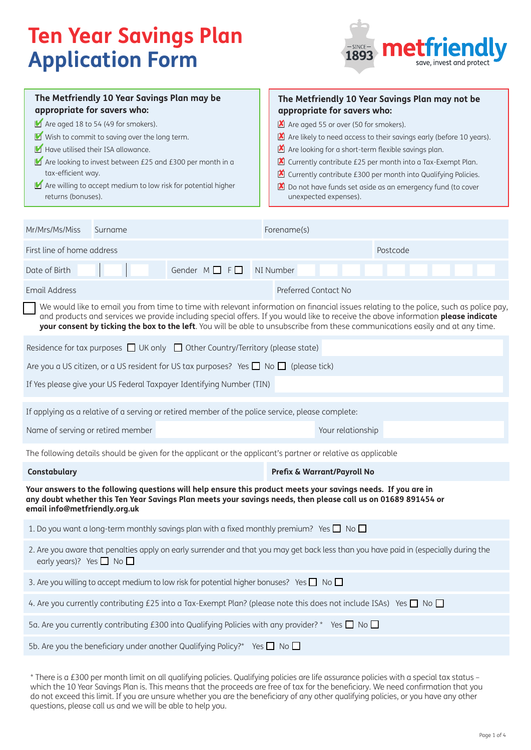# **Ten Year Savings Plan Application Form**



| The Metfriendly 10 Year Savings Plan may be<br>appropriate for savers who:<br>Are aged 18 to 54 (49 for smokers).<br>Wish to commit to saving over the long term.<br>Have utilised their ISA allowance.<br>Are looking to invest between £25 and £300 per month in a<br>tax-efficient way.<br>Are willing to accept medium to low risk for potential higher<br>returns (bonuses).                             | The Metfriendly 10 Year Savings Plan may not be<br>appropriate for savers who:<br>Are aged 55 or over (50 for smokers).<br>Are likely to need access to their savings early (before 10 years).<br>Are looking for a short-term flexible savings plan.<br>■ Currently contribute £25 per month into a Tax-Exempt Plan.<br>■ Currently contribute £300 per month into Qualifying Policies.<br>Do not have funds set aside as an emergency fund (to cover<br>$\mathbf{x}$<br>unexpected expenses). |  |  |
|---------------------------------------------------------------------------------------------------------------------------------------------------------------------------------------------------------------------------------------------------------------------------------------------------------------------------------------------------------------------------------------------------------------|-------------------------------------------------------------------------------------------------------------------------------------------------------------------------------------------------------------------------------------------------------------------------------------------------------------------------------------------------------------------------------------------------------------------------------------------------------------------------------------------------|--|--|
| Mr/Mrs/Ms/Miss<br>Surname                                                                                                                                                                                                                                                                                                                                                                                     | Forename(s)                                                                                                                                                                                                                                                                                                                                                                                                                                                                                     |  |  |
| First line of home address                                                                                                                                                                                                                                                                                                                                                                                    | Postcode                                                                                                                                                                                                                                                                                                                                                                                                                                                                                        |  |  |
| Gender $M \square F \square$<br>Date of Birth                                                                                                                                                                                                                                                                                                                                                                 | NI Number                                                                                                                                                                                                                                                                                                                                                                                                                                                                                       |  |  |
| <b>Email Address</b>                                                                                                                                                                                                                                                                                                                                                                                          | Preferred Contact No                                                                                                                                                                                                                                                                                                                                                                                                                                                                            |  |  |
| We would like to email you from time to time with relevant information on financial issues relating to the police, such as police pay,<br>and products and services we provide including special offers. If you would like to receive the above information please indicate<br>your consent by ticking the box to the left. You will be able to unsubscribe from these communications easily and at any time. |                                                                                                                                                                                                                                                                                                                                                                                                                                                                                                 |  |  |
| Residence for tax purposes $\Box$ UK only $\Box$ Other Country/Territory (please state)                                                                                                                                                                                                                                                                                                                       |                                                                                                                                                                                                                                                                                                                                                                                                                                                                                                 |  |  |
| Are you a US citizen, or a US resident for US tax purposes? Yes $\Box$ No $\Box$ (please tick)                                                                                                                                                                                                                                                                                                                |                                                                                                                                                                                                                                                                                                                                                                                                                                                                                                 |  |  |
| If Yes please give your US Federal Taxpayer Identifying Number (TIN)                                                                                                                                                                                                                                                                                                                                          |                                                                                                                                                                                                                                                                                                                                                                                                                                                                                                 |  |  |
| If applying as a relative of a serving or retired member of the police service, please complete:                                                                                                                                                                                                                                                                                                              |                                                                                                                                                                                                                                                                                                                                                                                                                                                                                                 |  |  |
| Name of serving or retired member                                                                                                                                                                                                                                                                                                                                                                             | Your relationship                                                                                                                                                                                                                                                                                                                                                                                                                                                                               |  |  |
| The following details should be given for the applicant or the applicant's partner or relative as applicable                                                                                                                                                                                                                                                                                                  |                                                                                                                                                                                                                                                                                                                                                                                                                                                                                                 |  |  |
| Constabulary                                                                                                                                                                                                                                                                                                                                                                                                  | Prefix & Warrant/Payroll No                                                                                                                                                                                                                                                                                                                                                                                                                                                                     |  |  |
| Your answers to the following questions will help ensure this product meets your savings needs. If you are in<br>any doubt whether this Ten Year Savings Plan meets your savings needs, then please call us on 01689 891454 or<br>email info@metfriendly.org.uk                                                                                                                                               |                                                                                                                                                                                                                                                                                                                                                                                                                                                                                                 |  |  |
| 1. Do you want a long-term monthly savings plan with a fixed monthly premium? Yes $\square$ No $\square$                                                                                                                                                                                                                                                                                                      |                                                                                                                                                                                                                                                                                                                                                                                                                                                                                                 |  |  |
| 2. Are you aware that penalties apply on early surrender and that you may get back less than you have paid in (especially during the<br>early years)? Yes $\Box$ No $\Box$                                                                                                                                                                                                                                    |                                                                                                                                                                                                                                                                                                                                                                                                                                                                                                 |  |  |
| 3. Are you willing to accept medium to low risk for potential higher bonuses? Yes No                                                                                                                                                                                                                                                                                                                          |                                                                                                                                                                                                                                                                                                                                                                                                                                                                                                 |  |  |
| 4. Are you currently contributing £25 into a Tax-Exempt Plan? (please note this does not include ISAs) Yes $\Box$ No $\Box$                                                                                                                                                                                                                                                                                   |                                                                                                                                                                                                                                                                                                                                                                                                                                                                                                 |  |  |
| 5a. Are you currently contributing £300 into Qualifying Policies with any provider? * Yes $\Box$ No $\Box$                                                                                                                                                                                                                                                                                                    |                                                                                                                                                                                                                                                                                                                                                                                                                                                                                                 |  |  |
| 5b. Are you the beneficiary under another Qualifying Policy?* Yes $\Box$ No $\Box$                                                                                                                                                                                                                                                                                                                            |                                                                                                                                                                                                                                                                                                                                                                                                                                                                                                 |  |  |
|                                                                                                                                                                                                                                                                                                                                                                                                               |                                                                                                                                                                                                                                                                                                                                                                                                                                                                                                 |  |  |

\* There is a £300 per month limit on all qualifying policies. Qualifying policies are life assurance policies with a special tax status – which the 10 Year Savings Plan is. This means that the proceeds are free of tax for the beneficiary. We need confirmation that you do not exceed this limit. If you are unsure whether you are the beneficiary of any other qualifying policies, or you have any other questions, please call us and we will be able to help you.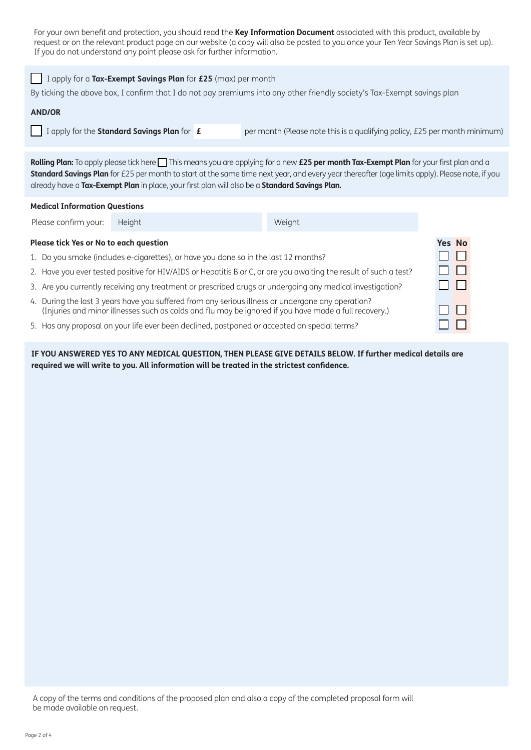For your own benefit and protection, you should read the **Key Information Document** associated with this product, available by request or on the relevant product page on our website (a copy will also be posted to you once your Ten Year Savings Plan is set up). If you do not understand any point please ask for further information.

| I apply for a Tax-Exempt Savings Plan for £25 (max) per month<br>By ticking the above box, I confirm that I do not pay premiums into any other friendly society's Tax-Exempt savings plan                                                                                                                                                                                                 |                                                                                                                   |  |                                                                            |  |  |
|-------------------------------------------------------------------------------------------------------------------------------------------------------------------------------------------------------------------------------------------------------------------------------------------------------------------------------------------------------------------------------------------|-------------------------------------------------------------------------------------------------------------------|--|----------------------------------------------------------------------------|--|--|
| <b>AND/OR</b>                                                                                                                                                                                                                                                                                                                                                                             |                                                                                                                   |  |                                                                            |  |  |
|                                                                                                                                                                                                                                                                                                                                                                                           | I apply for the Standard Savings Plan for £                                                                       |  | per month (Please note this is a qualifying policy, £25 per month minimum) |  |  |
| Rolling Plan: To apply please tick here This means you are applying for a new £25 per month Tax-Exempt Plan for your first plan and a<br>Standard Savings Plan for £25 per month to start at the same time next year, and every year thereafter (age limits apply). Please note, if you<br>already have a Tax-Exempt Plan in place, your first plan will also be a Standard Savings Plan. |                                                                                                                   |  |                                                                            |  |  |
| <b>Medical Information Questions</b>                                                                                                                                                                                                                                                                                                                                                      |                                                                                                                   |  |                                                                            |  |  |
| Please confirm your:                                                                                                                                                                                                                                                                                                                                                                      | Height                                                                                                            |  | Weight                                                                     |  |  |
| <b>Yes No</b><br>Please tick Yes or No to each question                                                                                                                                                                                                                                                                                                                                   |                                                                                                                   |  |                                                                            |  |  |
|                                                                                                                                                                                                                                                                                                                                                                                           | 1. Do you smoke (includes e-cigarettes), or have you done so in the last 12 months?                               |  |                                                                            |  |  |
|                                                                                                                                                                                                                                                                                                                                                                                           | 2. Have you ever tested positive for HIV/AIDS or Hepatitis B or C, or are you awaiting the result of such a test? |  |                                                                            |  |  |
| 3. Are you currently receiving any treatment or prescribed drugs or undergoing any medical investigation?                                                                                                                                                                                                                                                                                 |                                                                                                                   |  |                                                                            |  |  |
| 4. During the last 3 years have you suffered from any serious illness or undergone any operation?<br>(Injuries and minor illnesses such as colds and flu may be ignored if you have made a full recovery.)                                                                                                                                                                                |                                                                                                                   |  |                                                                            |  |  |
| 5. Has any proposal on your life ever been declined, postponed or accepted on special terms?                                                                                                                                                                                                                                                                                              |                                                                                                                   |  |                                                                            |  |  |

5. Has any proposal on your life ever been declined, postponed or accepted on special terms?

**IF YOU ANSWERED YES TO ANY MEDICAL QUESTION, THEN PLEASE GIVE DETAILS BELOW. If further medical details are required we will write to you. All information will be treated in the strictest confidence.**

A copy of the terms and conditions of the proposed plan and also a copy of the completed proposal form will be made available on request.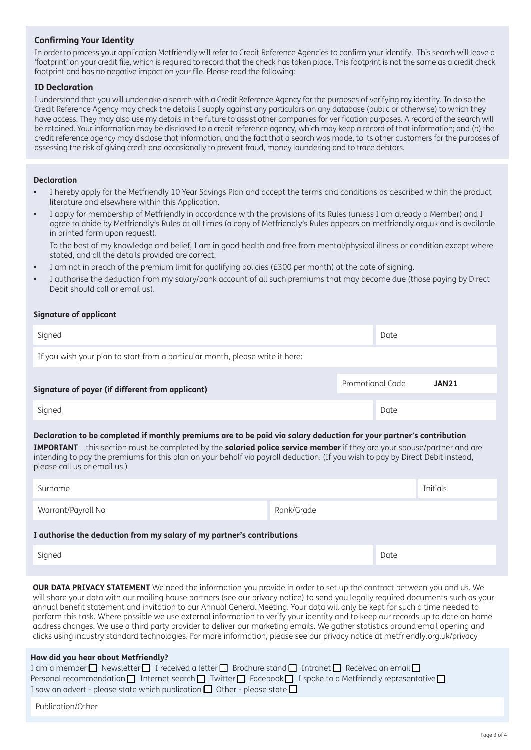# **Confirming Your Identity**

In order to process your application Metfriendly will refer to Credit Reference Agencies to confirm your identify. This search will leave a 'footprint' on your credit file, which is required to record that the check has taken place. This footprint is not the same as a credit check footprint and has no negative impact on your file. Please read the following:

## **ID Declaration**

I understand that you will undertake a search with a Credit Reference Agency for the purposes of verifying my identity. To do so the Credit Reference Agency may check the details I supply against any particulars on any database (public or otherwise) to which they have access. They may also use my details in the future to assist other companies for verification purposes. A record of the search will be retained. Your information may be disclosed to a credit reference agency, which may keep a record of that information; and (b) the credit reference agency may disclose that information, and the fact that a search was made, to its other customers for the purposes of assessing the risk of giving credit and occasionally to prevent fraud, money laundering and to trace debtors.

## **Declaration**

- I hereby apply for the Metfriendly 10 Year Savings Plan and accept the terms and conditions as described within the product literature and elsewhere within this Application.
- I apply for membership of Metfriendly in accordance with the provisions of its Rules (unless I am already a Member) and I agree to abide by Metfriendly's Rules at all times (a copy of Metfriendly's Rules appears on metfriendly.org.uk and is available in printed form upon request).

To the best of my knowledge and belief, I am in good health and free from mental/physical illness or condition except where stated, and all the details provided are correct.

- I am not in breach of the premium limit for qualifying policies (£300 per month) at the date of signing.
- I authorise the deduction from my salary/bank account of all such premiums that may become due (those paying by Direct Debit should call or email us).

### **Signature of applicant**

| Signed                                                                        |                  | Date |              |
|-------------------------------------------------------------------------------|------------------|------|--------------|
| If you wish your plan to start from a particular month, please write it here: |                  |      |              |
| Signature of payer (if different from applicant)                              | Promotional Code |      | <b>JAN21</b> |
| Signed                                                                        |                  | Date |              |
|                                                                               |                  |      |              |

# **Declaration to be completed if monthly premiums are to be paid via salary deduction for your partner's contribution**

**IMPORTANT** – this section must be completed by the **salaried police service member** if they are your spouse/partner and are intending to pay the premiums for this plan on your behalf via payroll deduction. (If you wish to pay by Direct Debit instead, please call us or email us.)

| Surname                                                                |            | Initials |  |
|------------------------------------------------------------------------|------------|----------|--|
| Warrant/Payroll No                                                     | Rank/Grade |          |  |
| I authorise the deduction from my salary of my partner's contributions |            |          |  |

Signed Date and Date and Date and Date and Date and Date and Date and Date and Date and Date and Date and Date

**OUR DATA PRIVACY STATEMENT** We need the information you provide in order to set up the contract between you and us. We will share your data with our mailing house partners (see our privacy notice) to send you legally required documents such as your annual benefit statement and invitation to our Annual General Meeting. Your data will only be kept for such a time needed to perform this task. Where possible we use external information to verify your identity and to keep our records up to date on home address changes. We use a third party provider to deliver our marketing emails. We gather statistics around email opening and clicks using industry standard technologies. For more information, please see our privacy notice at metfriendly.org.uk/privacy

#### **How did you hear about Metfriendly?**

| I am a member $\Box$ Newsletter $\Box$ I received a letter $\Box$ Brochure stand $\Box$ Intranet $\Box$ Received an email $\Box$    |  |
|-------------------------------------------------------------------------------------------------------------------------------------|--|
| Personal recommendation $\Box$ Internet search $\Box$ Twitter $\Box$ Facebook $\Box$ I spoke to a Metfriendly representative $\Box$ |  |
| I saw an advert - please state which publication $\Box$ Other - please state $\Box$                                                 |  |

Publication/Other